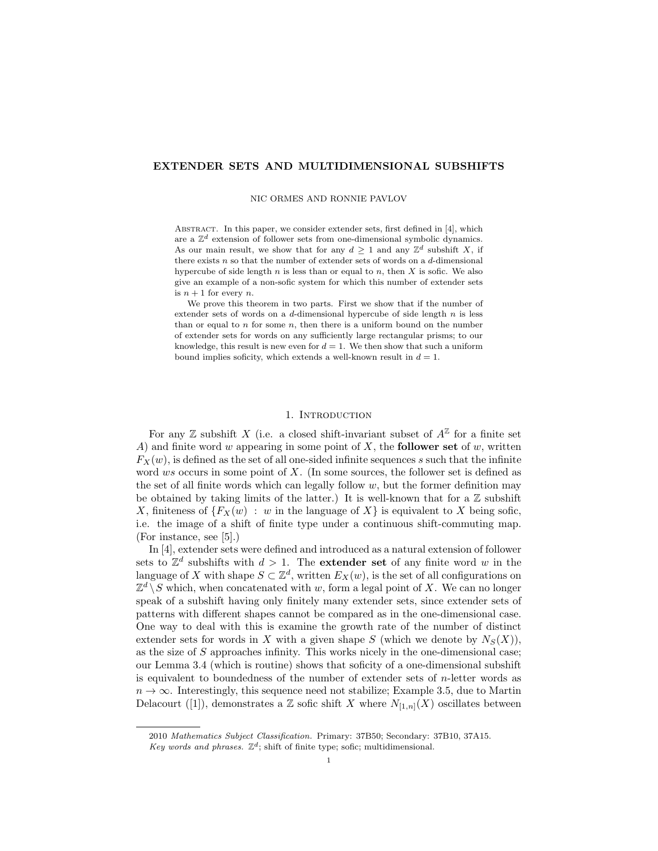### EXTENDER SETS AND MULTIDIMENSIONAL SUBSHIFTS

#### NIC ORMES AND RONNIE PAVLOV

Abstract. In this paper, we consider extender sets, first defined in [4], which are a  $\mathbb{Z}^d$  extension of follower sets from one-dimensional symbolic dynamics. As our main result, we show that for any  $d \geq 1$  and any  $\mathbb{Z}^d$  subshift X, if there exists  $n$  so that the number of extender sets of words on a  $d$ -dimensional hypercube of side length  $n$  is less than or equal to  $n$ , then  $X$  is sofic. We also give an example of a non-sofic system for which this number of extender sets is  $n + 1$  for every n.

We prove this theorem in two parts. First we show that if the number of extender sets of words on a  $d$ -dimensional hypercube of side length  $n$  is less than or equal to  $n$  for some  $n$ , then there is a uniform bound on the number of extender sets for words on any sufficiently large rectangular prisms; to our knowledge, this result is new even for  $d = 1$ . We then show that such a uniform bound implies soficity, which extends a well-known result in  $d = 1$ .

### 1. INTRODUCTION

For any  $\mathbb Z$  subshift X (i.e. a closed shift-invariant subset of  $A^{\mathbb Z}$  for a finite set A) and finite word w appearing in some point of  $X$ , the **follower set** of  $w$ , written  $F_X(w)$ , is defined as the set of all one-sided infinite sequences s such that the infinite word ws occurs in some point of X. (In some sources, the follower set is defined as the set of all finite words which can legally follow  $w$ , but the former definition may be obtained by taking limits of the latter.) It is well-known that for a  $\mathbb Z$  subshift X, finiteness of  $\{F_X(w) : w \text{ in the language of } X\}$  is equivalent to X being sofic, i.e. the image of a shift of finite type under a continuous shift-commuting map. (For instance, see [5].)

In [4], extender sets were defined and introduced as a natural extension of follower sets to  $\mathbb{Z}^d$  subshifts with  $d > 1$ . The **extender set** of any finite word w in the language of X with shape  $S \subset \mathbb{Z}^d$ , written  $E_X(w)$ , is the set of all configurations on  $\mathbb{Z}^d \setminus S$  which, when concatenated with w, form a legal point of X. We can no longer speak of a subshift having only finitely many extender sets, since extender sets of patterns with different shapes cannot be compared as in the one-dimensional case. One way to deal with this is examine the growth rate of the number of distinct extender sets for words in X with a given shape S (which we denote by  $N_S(X)$ ), as the size of S approaches infinity. This works nicely in the one-dimensional case; our Lemma 3.4 (which is routine) shows that soficity of a one-dimensional subshift is equivalent to boundedness of the number of extender sets of  $n$ -letter words as  $n \to \infty$ . Interestingly, this sequence need not stabilize; Example 3.5, due to Martin Delacourt ([1]), demonstrates a Z sofic shift X where  $N_{[1,n]}(X)$  oscillates between

<sup>2010</sup> Mathematics Subject Classification. Primary: 37B50; Secondary: 37B10, 37A15.

Key words and phrases.  $\mathbb{Z}^d$ ; shift of finite type; sofic; multidimensional.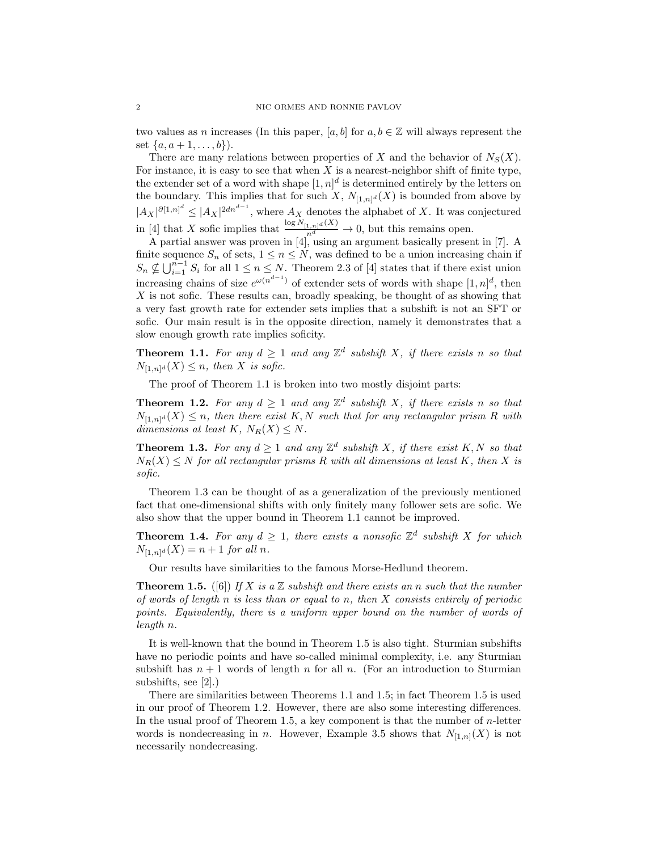two values as n increases (In this paper, [a, b] for  $a, b \in \mathbb{Z}$  will always represent the set  $\{a, a+1, \ldots, b\}$ .

There are many relations between properties of X and the behavior of  $N_S(X)$ . For instance, it is easy to see that when  $X$  is a nearest-neighbor shift of finite type, the extender set of a word with shape  $[1, n]^d$  is determined entirely by the letters on the boundary. This implies that for such X,  $N_{[1,n]^d}(X)$  is bounded from above by  $|A_X|^{\partial [1,n]^d} \leq |A_X|^{2dn^{d-1}}$ , where  $A_X$  denotes the alphabet of X. It was conjectured in [4] that X sofic implies that  $\frac{\log N_{[1,n]^d}(X)}{n^d} \to 0$ , but this remains open.

A partial answer was proven in [4], using an argument basically present in [7]. A finite sequence  $S_n$  of sets,  $1 \leq n \leq N$ , was defined to be a union increasing chain if  $S_n \nsubseteq \bigcup_{i=1}^{n-1} S_i$  for all  $1 \leq n \leq N$ . Theorem 2.3 of [4] states that if there exist union increasing chains of size  $e^{\omega(n^{d-1})}$  of extender sets of words with shape  $[1,n]^d$ , then  $X$  is not sofic. These results can, broadly speaking, be thought of as showing that a very fast growth rate for extender sets implies that a subshift is not an SFT or sofic. Our main result is in the opposite direction, namely it demonstrates that a slow enough growth rate implies soficity.

**Theorem 1.1.** For any  $d \geq 1$  and any  $\mathbb{Z}^d$  subshift X, if there exists n so that  $N_{[1,n]^d}(X) \leq n$ , then X is sofic.

The proof of Theorem 1.1 is broken into two mostly disjoint parts:

**Theorem 1.2.** For any  $d \geq 1$  and any  $\mathbb{Z}^d$  subshift X, if there exists n so that  $N_{[1,n]^d}(X) \leq n$ , then there exist K, N such that for any rectangular prism R with dimensions at least K,  $N_R(X) \leq N$ .

**Theorem 1.3.** For any  $d \geq 1$  and any  $\mathbb{Z}^d$  subshift X, if there exist K, N so that  $N_R(X) \leq N$  for all rectangular prisms R with all dimensions at least K, then X is sofic.

Theorem 1.3 can be thought of as a generalization of the previously mentioned fact that one-dimensional shifts with only finitely many follower sets are sofic. We also show that the upper bound in Theorem 1.1 cannot be improved.

**Theorem 1.4.** For any  $d \geq 1$ , there exists a nonsofic  $\mathbb{Z}^d$  subshift X for which  $N_{[1,n]^d}(X) = n + 1$  for all n.

Our results have similarities to the famous Morse-Hedlund theorem.

**Theorem 1.5.** ([6]) If X is a Z subshift and there exists an n such that the number of words of length  $n$  is less than or equal to  $n$ , then  $X$  consists entirely of periodic points. Equivalently, there is a uniform upper bound on the number of words of length n.

It is well-known that the bound in Theorem 1.5 is also tight. Sturmian subshifts have no periodic points and have so-called minimal complexity, i.e. any Sturmian subshift has  $n + 1$  words of length n for all n. (For an introduction to Sturmian subshifts, see [2].)

There are similarities between Theorems 1.1 and 1.5; in fact Theorem 1.5 is used in our proof of Theorem 1.2. However, there are also some interesting differences. In the usual proof of Theorem 1.5, a key component is that the number of  $n$ -letter words is nondecreasing in n. However, Example 3.5 shows that  $N_{[1,n]}(X)$  is not necessarily nondecreasing.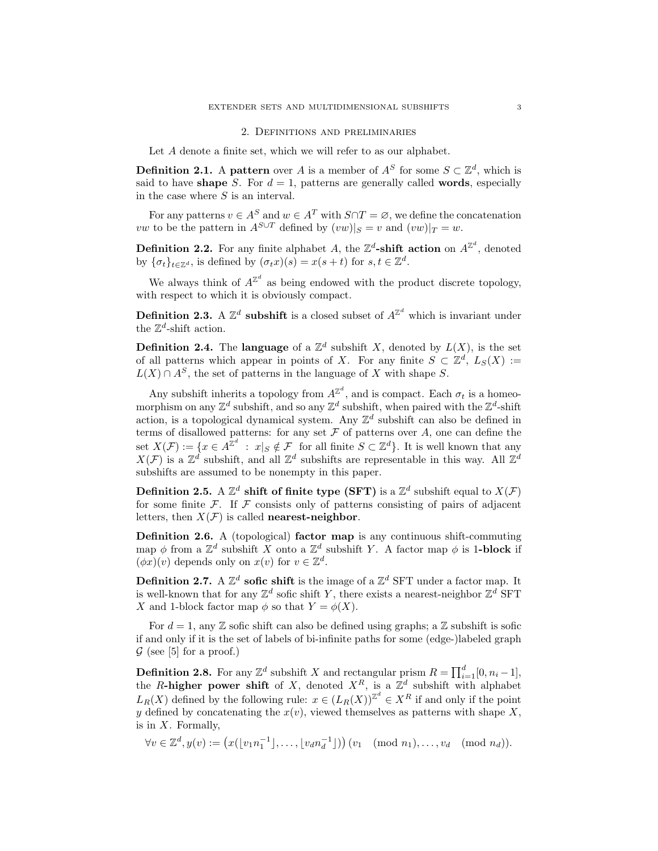## 2. Definitions and preliminaries

Let A denote a finite set, which we will refer to as our alphabet.

**Definition 2.1.** A pattern over A is a member of  $A^S$  for some  $S \subset \mathbb{Z}^d$ , which is said to have shape S. For  $d = 1$ , patterns are generally called words, especially in the case where  $S$  is an interval.

For any patterns  $v \in A^S$  and  $w \in A^T$  with  $S \cap T = \emptyset$ , we define the concatenation vw to be the pattern in  $A^{S\cup T}$  defined by  $(vw)|_S = v$  and  $(vw)|_T = w$ .

**Definition 2.2.** For any finite alphabet A, the  $\mathbb{Z}^d$ -shift action on  $A^{\mathbb{Z}^d}$ , denoted by  $\{\sigma_t\}_{t\in\mathbb{Z}^d}$ , is defined by  $(\sigma_t x)(s) = x(s+t)$  for  $s, t \in \mathbb{Z}^d$ .

We always think of  $A^{\mathbb{Z}^d}$  as being endowed with the product discrete topology, with respect to which it is obviously compact.

**Definition 2.3.** A  $\mathbb{Z}^d$  subshift is a closed subset of  $A^{\mathbb{Z}^d}$  which is invariant under the  $\mathbb{Z}^d$ -shift action.

**Definition 2.4.** The **language** of a  $\mathbb{Z}^d$  subshift X, denoted by  $L(X)$ , is the set of all patterns which appear in points of X. For any finite  $S \subset \mathbb{Z}^d$ ,  $L_S(X) :=$  $L(X) \cap A^S$ , the set of patterns in the language of X with shape S.

Any subshift inherits a topology from  $A^{\mathbb{Z}^d}$ , and is compact. Each  $\sigma_t$  is a homeomorphism on any  $\mathbb{Z}^d$  subshift, and so any  $\mathbb{Z}^d$  subshift, when paired with the  $\mathbb{Z}^d$ -shift action, is a topological dynamical system. Any  $\mathbb{Z}^d$  subshift can also be defined in terms of disallowed patterns: for any set  $\mathcal F$  of patterns over  $A$ , one can define the set  $X(\mathcal{F}) := \{x \in A^{\mathbb{Z}^d} : x|_S \notin \mathcal{F}$  for all finite  $S \subset \mathbb{Z}^d\}$ . It is well known that any  $X(\mathcal{F})$  is a  $\mathbb{Z}^d$  subshift, and all  $\mathbb{Z}^d$  subshifts are representable in this way. All  $\mathbb{Z}^d$ subshifts are assumed to be nonempty in this paper.

Definition 2.5. A  $\mathbb{Z}^d$  shift of finite type (SFT) is a  $\mathbb{Z}^d$  subshift equal to  $X(\mathcal{F})$ for some finite  $\mathcal{F}$ . If  $\mathcal{F}$  consists only of patterns consisting of pairs of adjacent letters, then  $X(\mathcal{F})$  is called **nearest-neighbor**.

Definition 2.6. A (topological) factor map is any continuous shift-commuting map  $\phi$  from a  $\mathbb{Z}^d$  subshift X onto a  $\mathbb{Z}^d$  subshift Y. A factor map  $\phi$  is 1-block if  $(\phi x)(v)$  depends only on  $x(v)$  for  $v \in \mathbb{Z}^d$ .

**Definition 2.7.** A  $\mathbb{Z}^d$  sofic shift is the image of a  $\mathbb{Z}^d$  SFT under a factor map. It is well-known that for any  $\mathbb{Z}^d$  sofic shift Y, there exists a nearest-neighbor  $\mathbb{Z}^d$  SFT X and 1-block factor map  $\phi$  so that  $Y = \phi(X)$ .

For  $d = 1$ , any  $\mathbb Z$  sofic shift can also be defined using graphs; a  $\mathbb Z$  subshift is sofic if and only if it is the set of labels of bi-infinite paths for some (edge-)labeled graph  $\mathcal G$  (see [5] for a proof.)

**Definition 2.8.** For any  $\mathbb{Z}^d$  subshift X and rectangular prism  $R = \prod_{i=1}^d [0, n_i - 1]$ , the R-higher power shift of X, denoted  $X^R$ , is a  $\mathbb{Z}^d$  subshift with alphabet  $L_R(X)$  defined by the following rule:  $x \in (L_R(X))^{\mathbb{Z}^d} \in X^R$  if and only if the point y defined by concatenating the  $x(v)$ , viewed themselves as patterns with shape X, is in  $X$ . Formally,

 $\forall v \in \mathbb{Z}^d, y(v) := (x(\lfloor v_1 n_1^{-1} \rfloor, \dots, \lfloor v_d n_d^{-1} \rfloor)) (v_1 \pmod{n_1}, \dots, v_d \pmod{n_d}).$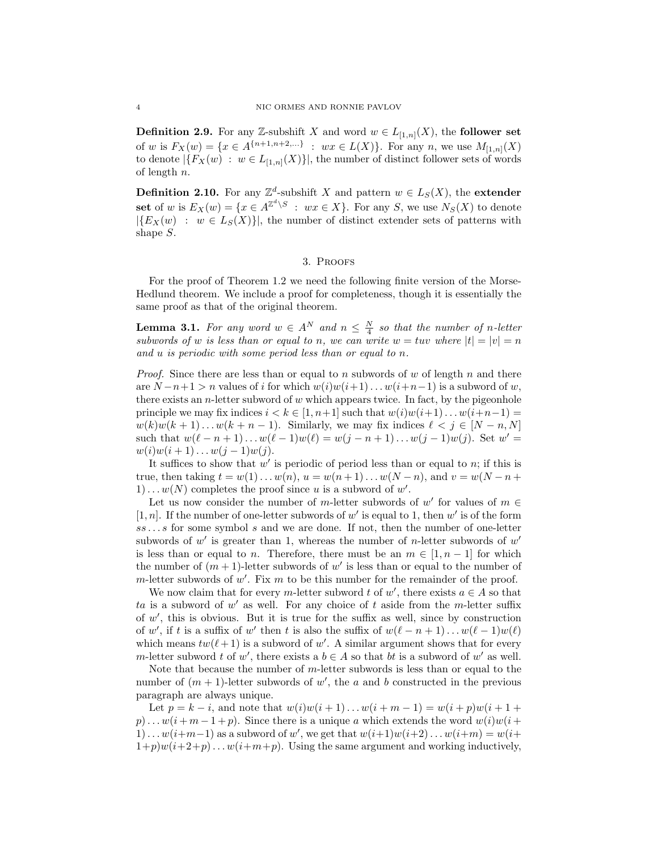**Definition 2.9.** For any Z-subshift X and word  $w \in L_{[1,n]}(X)$ , the follower set of w is  $F_X(w) = \{x \in A^{\{n+1, n+2, ...\}} : wx \in L(X)\}.$  For any n, we use  $M_{[1,n]}(X)$ to denote  $|\{F_X(w) : w \in L_{[1,n]}(X)\}|$ , the number of distinct follower sets of words of length  $n$ .

**Definition 2.10.** For any  $\mathbb{Z}^d$ -subshift X and pattern  $w \in L_S(X)$ , the extender set of w is  $E_X(w) = \{x \in A^{\mathbb{Z}^d \setminus S} : wx \in X\}$ . For any S, we use  $N_S(X)$  to denote  $|{E_X(w)}: w \in L_S(X)|$ , the number of distinct extender sets of patterns with shape S.

#### 3. Proofs

For the proof of Theorem 1.2 we need the following finite version of the Morse-Hedlund theorem. We include a proof for completeness, though it is essentially the same proof as that of the original theorem.

**Lemma 3.1.** For any word  $w \in A^N$  and  $n \leq \frac{N}{4}$  so that the number of n-letter subwords of w is less than or equal to n, we can write  $w = tuv$  where  $|t| = |v| = n$ and u is periodic with some period less than or equal to n.

*Proof.* Since there are less than or equal to n subwords of w of length n and there are  $N-n+1 > n$  values of i for which  $w(i)w(i+1)...w(i+n-1)$  is a subword of w, there exists an *n*-letter subword of  $w$  which appears twice. In fact, by the pigeonhole principle we may fix indices  $i < k \in [1, n+1]$  such that  $w(i)w(i+1)...w(i+n-1) =$  $w(k)w(k + 1)...w(k + n - 1)$ . Similarly, we may fix indices  $\ell < j \in [N - n, N]$ such that  $w(\ell - n + 1) \dots w(\ell - 1)w(\ell) = w(j - n + 1) \dots w(j - 1)w(j)$ . Set  $w' =$  $w(i)w(i + 1)...w(j - 1)w(j).$ 

It suffices to show that  $w'$  is periodic of period less than or equal to  $n$ ; if this is true, then taking  $t = w(1) \dots w(n)$ ,  $u = w(n+1) \dots w(N-n)$ , and  $v = w(N-n+1)$  $1) \dots w(N)$  completes the proof since u is a subword of w'.

Let us now consider the number of m-letter subwords of  $w'$  for values of  $m \in$ [1, n]. If the number of one-letter subwords of w' is equal to 1, then w' is of the form ss . . . s for some symbol s and we are done. If not, then the number of one-letter subwords of  $w'$  is greater than 1, whereas the number of *n*-letter subwords of  $w'$ is less than or equal to n. Therefore, there must be an  $m \in [1, n-1]$  for which the number of  $(m + 1)$ -letter subwords of w' is less than or equal to the number of m-letter subwords of  $w'$ . Fix m to be this number for the remainder of the proof.

We now claim that for every *m*-letter subword t of w', there exists  $a \in A$  so that ta is a subword of  $w'$  as well. For any choice of t aside from the m-letter suffix of  $w'$ , this is obvious. But it is true for the suffix as well, since by construction of w', if t is a suffix of w' then t is also the suffix of  $w(\ell - n + 1) \dots w(\ell - 1)w(\ell)$ which means  $tw(l + 1)$  is a subword of w'. A similar argument shows that for every m-letter subword t of w', there exists a  $b \in A$  so that bt is a subword of w' as well.

Note that because the number of  $m$ -letter subwords is less than or equal to the number of  $(m + 1)$ -letter subwords of w', the a and b constructed in the previous paragraph are always unique.

Let  $p = k - i$ , and note that  $w(i)w(i + 1)...w(i + m - 1) = w(i + p)w(i + 1 + \dots)$  $p) \dots w(i+m-1+p)$ . Since there is a unique a which extends the word  $w(i)w(i+p)$ .  $1) \dots w(i+m-1)$  as a subword of w', we get that  $w(i+1)w(i+2) \dots w(i+m) = w(i+m)$  $1+p(w(i+2+p)...w(i+m+p))$ . Using the same argument and working inductively,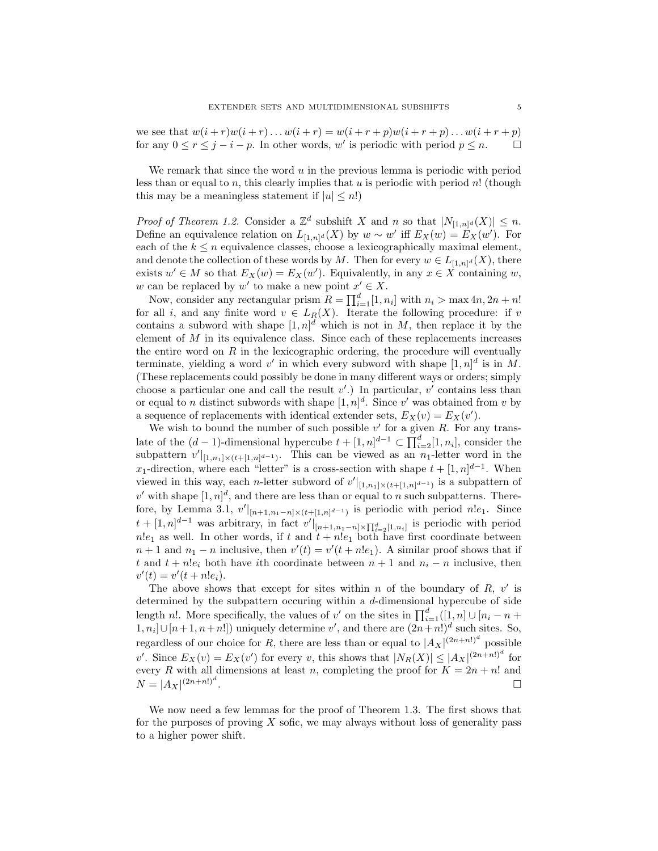we see that  $w(i + r)w(i + r)...w(i + r) = w(i + r + p)w(i + r + p)...w(i + r + p)$ for any  $0 \le r \le j - i - p$ . In other words, w' is periodic with period  $p \le n$ .

We remark that since the word  $u$  in the previous lemma is periodic with period less than or equal to n, this clearly implies that u is periodic with period n! (though this may be a meaningless statement if  $|u| \leq n!$ )

Proof of Theorem 1.2. Consider a  $\mathbb{Z}^d$  subshift X and n so that  $|N_{[1,n]^d}(X)| \leq n$ . Define an equivalence relation on  $L_{[1,n]^d}(X)$  by  $w \sim w'$  iff  $E_X(w) = E_X(w')$ . For each of the  $k \leq n$  equivalence classes, choose a lexicographically maximal element, and denote the collection of these words by M. Then for every  $w \in L_{[1,n]^d}(X)$ , there exists  $w' \in M$  so that  $E_X(w) = E_X(w')$ . Equivalently, in any  $x \in X$  containing w, w can be replaced by w' to make a new point  $x' \in X$ .

Now, consider any rectangular prism  $R = \prod_{i=1}^{d} [1, n_i]$  with  $n_i > \max 4n, 2n + n!$ for all i, and any finite word  $v \in L_R(X)$ . Iterate the following procedure: if v contains a subword with shape  $[1, n]^d$  which is not in M, then replace it by the element of  $M$  in its equivalence class. Since each of these replacements increases the entire word on  $R$  in the lexicographic ordering, the procedure will eventually terminate, yielding a word v' in which every subword with shape  $[1, n]^d$  is in M. (These replacements could possibly be done in many different ways or orders; simply choose a particular one and call the result  $v'$ .) In particular,  $v'$  contains less than or equal to n distinct subwords with shape  $[1,n]^d$ . Since v' was obtained from v by a sequence of replacements with identical extender sets,  $E_X(v) = E_X(v')$ .

We wish to bound the number of such possible  $v'$  for a given  $R$ . For any translate of the  $(d-1)$ -dimensional hypercube  $t + [1, n]^{d-1} \subset \prod_{i=2}^{d} [1, n_i]$ , consider the subpattern  $v'|_{[1,n_1]\times(t+[1,n]^{d-1})}$ . This can be viewed as an  $n_1$ -letter word in the x<sub>1</sub>-direction, where each "letter" is a cross-section with shape  $t + [1, n]^{d-1}$ . When viewed in this way, each *n*-letter subword of  $v'|_{[1,n_1] \times (t+[1,n]^{d-1})}$  is a subpattern of v' with shape  $[1,n]^d$ , and there are less than or equal to n such subpatterns. Therefore, by Lemma 3.1,  $v'|_{[n+1,n_1-n]\times(t+[1,n]^{d-1})}$  is periodic with period  $n!e_1$ . Since  $t + [1, n]^{d-1}$  was arbitrary, in fact  $v' |_{[n+1,n_1-n] \times \prod_{i=2}^d [1,n_i]}$  is periodic with period  $n!e_1$  as well. In other words, if t and  $t + n!e_1$  both have first coordinate between  $n+1$  and  $n_1 - n$  inclusive, then  $v'(t) = v'(t + n!e_1)$ . A similar proof shows that if t and  $t + n!e_i$  both have ith coordinate between  $n + 1$  and  $n_i - n$  inclusive, then  $v'(t) = v'(t + n!e_i).$ 

The above shows that except for sites within n of the boundary of  $R$ ,  $v'$  is determined by the subpattern occuring within a  $d$ -dimensional hypercube of side length n!. More specifically, the values of v' on the sites in  $\prod_{i=1}^{d}([1, n] \cup [n_i - n +$ 1,  $n_i$  ∪ [n + 1, n + n!]) uniquely determine v', and there are  $(2n+n!)$ <sup>d</sup> such sites. So, regardless of our choice for R, there are less than or equal to  $|A_X|^{(2n+n!)^d}$  possible v'. Since  $E_X(v) = E_X(v')$  for every v, this shows that  $|N_R(X)| \leq |A_X|^{(2n+n!)^d}$  for every R with all dimensions at least n, completing the proof for  $K = 2n + n!$  and  $N = |A_X|^{(2n+n!)^d}$ . В последните последните последните последните последните последните последните последните последните последн<br>В последните последните последните последните последните последните последните последните последните последнит

We now need a few lemmas for the proof of Theorem 1.3. The first shows that for the purposes of proving  $X$  sofic, we may always without loss of generality pass to a higher power shift.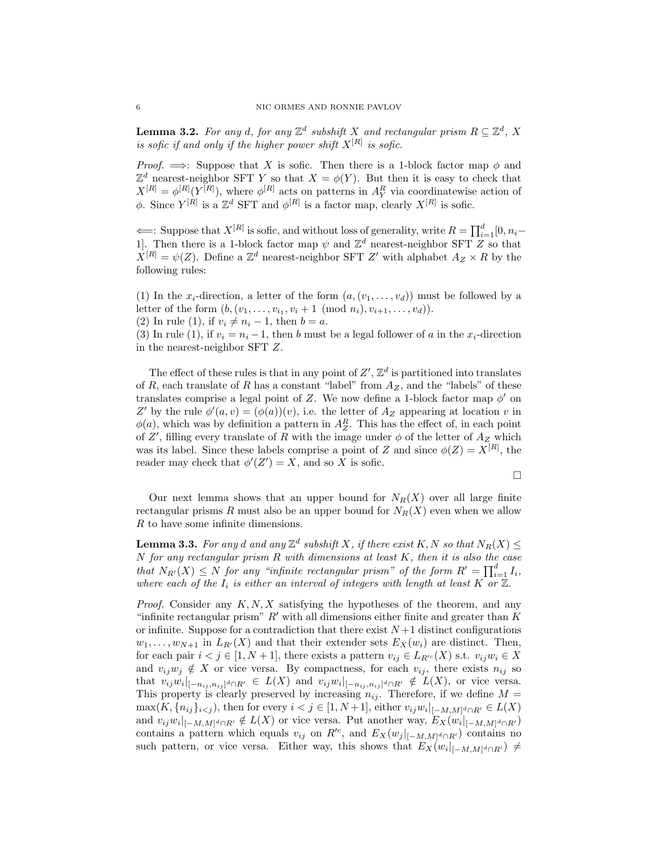**Lemma 3.2.** For any d, for any  $\mathbb{Z}^d$  subshift X and rectangular prism  $R \subseteq \mathbb{Z}^d$ , X is sofic if and only if the higher power shift  $X^{[R]}$  is sofic.

*Proof.*  $\implies$ : Suppose that X is sofic. Then there is a 1-block factor map  $\phi$  and  $\mathbb{Z}^d$  nearest-neighbor SFT Y so that  $X = \phi(Y)$ . But then it is easy to check that  $X^{[R]} = \phi^{[R]}(Y^{[R]})$ , where  $\phi^{[R]}$  acts on patterns in  $A_Y^R$  via coordinatewise action of φ. Since  $Y^{[R]}$  is a  $\mathbb{Z}^d$  SFT and  $\phi^{[R]}$  is a factor map, clearly  $X^{[R]}$  is sofic.

 $\Longleftarrow$ : Suppose that  $X^{[R]}$  is sofic, and without loss of generality, write  $R = \prod_{i=1}^{d} [0, n_i -$ 1. Then there is a 1-block factor map  $\psi$  and  $\mathbb{Z}^d$  nearest-neighbor SFT Z so that  $X^{[R]} = \psi(Z)$ . Define a  $\mathbb{Z}^d$  nearest-neighbor SFT  $Z'$  with alphabet  $A_Z \times R$  by the following rules:

(1) In the  $x_i$ -direction, a letter of the form  $(a,(v_1,\ldots,v_d))$  must be followed by a letter of the form  $(b, (v_1, \ldots, v_{i_1}, v_i + 1 \pmod{n_i}, v_{i+1}, \ldots, v_d)).$ 

(2) In rule (1), if  $v_i \neq n_i - 1$ , then  $b = a$ .

(3) In rule (1), if  $v_i = n_i - 1$ , then b must be a legal follower of a in the  $x_i$ -direction in the nearest-neighbor SFT Z.

The effect of these rules is that in any point of  $Z'$ ,  $\mathbb{Z}^d$  is partitioned into translates of R, each translate of R has a constant "label" from  $A_Z$ , and the "labels" of these translates comprise a legal point of Z. We now define a 1-block factor map  $\phi'$  on Z' by the rule  $\phi'(a, v) = (\phi(a))(v)$ , i.e. the letter of  $A_z$  appearing at location v in  $\phi(a)$ , which was by definition a pattern in  $A_Z^R$ . This has the effect of, in each point of Z', filling every translate of R with the image under  $\phi$  of the letter of  $A_Z$  which was its label. Since these labels comprise a point of Z and since  $\phi(Z) = X^{[R]}$ , the reader may check that  $\phi'(Z') = X$ , and so X is sofic.

$$
\Box
$$

Our next lemma shows that an upper bound for  $N_R(X)$  over all large finite rectangular prisms R must also be an upper bound for  $N_R(X)$  even when we allow  ${\cal R}$  to have some infinite dimensions.

**Lemma 3.3.** For any d and any  $\mathbb{Z}^d$  subshift X, if there exist K, N so that  $N_R(X) \leq$ N for any rectangular prism R with dimensions at least K, then it is also the case that  $N_{R'}(X) \leq N$  for any "infinite rectangular prism" of the form  $R' = \prod_{i=1}^{d} I_i$ , where each of the  $I_i$  is either an interval of integers with length at least K or  $\mathbb Z$ .

*Proof.* Consider any  $K, N, X$  satisfying the hypotheses of the theorem, and any "infinite rectangular prism"  $R'$  with all dimensions either finite and greater than  $K$ or infinite. Suppose for a contradiction that there exist  $N+1$  distinct configurations  $w_1, \ldots, w_{N+1}$  in  $L_{R'}(X)$  and that their extender sets  $E_X(w_i)$  are distinct. Then, for each pair  $i < j \in [1, N + 1]$ , there exists a pattern  $v_{ij} \in L_{R'^c}(X)$  s.t.  $v_{ij}w_i \in X$ and  $v_{ij}w_j \notin X$  or vice versa. By compactness, for each  $v_{ij}$ , there exists  $n_{ij}$  so that  $v_{ij}w_i|_{[-n_{ij},n_{ij}]^d\cap R'} \in L(X)$  and  $v_{ij}w_i|_{[-n_{ij},n_{ij}]^d\cap R'} \notin L(X)$ , or vice versa. This property is clearly preserved by increasing  $n_{ij}$ . Therefore, if we define  $M =$  $\max(K, \{n_{ij}\}_{i\leq j})$ , then for every  $i < j \in [1, N+1]$ , either  $v_{ij}w_i|_{[-M,M]^d \cap R'} \in L(X)$ and  $v_{ij}w_i|_{[-M,M]^d \cap R'} \notin L(X)$  or vice versa. Put another way,  $E_X(w_i|_{[-M,M]^d \cap R'})$ contains a pattern which equals  $v_{ij}$  on  $R^{ic}$ , and  $E_X(w_j|_{[-M,M]^d \cap R^{\prime}})$  contains no such pattern, or vice versa. Either way, this shows that  $E_X(w_i|_{[-M,M]^d \cap R'}) \neq$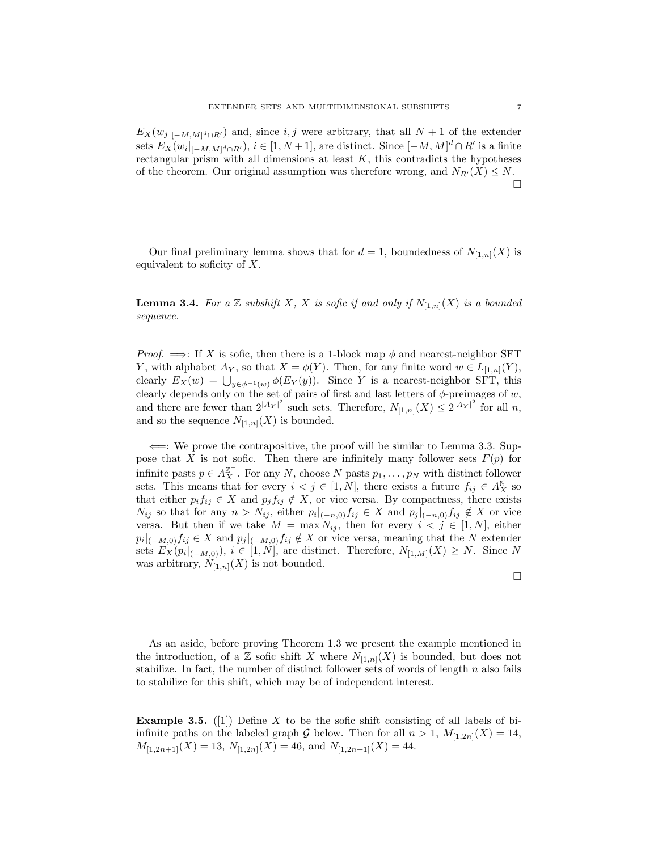$E_X(w_j|_{[-M,M]^d \cap R'})$  and, since i, j were arbitrary, that all  $N+1$  of the extender sets  $E_X(w_i|_{[-M,M]^d \cap R'})$ ,  $i \in [1, N+1]$ , are distinct. Since  $[-M,M]^d \cap R'$  is a finite rectangular prism with all dimensions at least  $K$ , this contradicts the hypotheses of the theorem. Our original assumption was therefore wrong, and  $N_{R'}(X) \leq N$ .  $\Box$ 

Our final preliminary lemma shows that for  $d = 1$ , boundedness of  $N_{[1,n]}(X)$  is equivalent to soficity of X.

**Lemma 3.4.** For a Z subshift X, X is sofic if and only if  $N_{[1,n]}(X)$  is a bounded sequence.

*Proof.*  $\implies$ : If X is sofic, then there is a 1-block map  $\phi$  and nearest-neighbor SFT Y, with alphabet  $A_Y$ , so that  $X = \phi(Y)$ . Then, for any finite word  $w \in L_{[1,n]}(Y)$ , clearly  $E_X(w) = \bigcup_{y \in \phi^{-1}(w)} \phi(E_Y(y))$ . Since Y is a nearest-neighbor SFT, this clearly depends only on the set of pairs of first and last letters of  $\phi$ -preimages of w, and there are fewer than  $2^{|A_Y|^2}$  such sets. Therefore,  $N_{[1,n]}(X) \leq 2^{|A_Y|^2}$  for all n, and so the sequence  $N_{[1,n]}(X)$  is bounded.

⇐=: We prove the contrapositive, the proof will be similar to Lemma 3.3. Suppose that X is not sofic. Then there are infinitely many follower sets  $F(p)$  for infinite pasts  $p \in A_X^{\mathbb{Z}^-}$ . For any N, choose N pasts  $p_1, \ldots, p_N$  with distinct follower sets. This means that for every  $i < j \in [1, N]$ , there exists a future  $f_{ij} \in A_X^{\mathbb{N}}$  so that either  $p_i f_{ij} \in X$  and  $p_j f_{ij} \notin X$ , or vice versa. By compactness, there exists  $N_{ij}$  so that for any  $n > N_{ij}$ , either  $p_i|_{(-n,0)} f_{ij} \in X$  and  $p_j|_{(-n,0)} f_{ij} \notin X$  or vice versa. But then if we take  $M = \max N_{ij}$ , then for every  $i < j \in [1, N]$ , either  $p_i|_{(-M,0)} f_{ij} \in X$  and  $p_j|_{(-M,0)} f_{ij} \notin X$  or vice versa, meaning that the N extender sets  $E_X(p_i|_{(-M,0)}), i \in [1,N]$ , are distinct. Therefore,  $N_{[1,M]}(X) \geq N$ . Since N was arbitrary,  $N_{[1,n]}(X)$  is not bounded.

$$
\Box
$$

As an aside, before proving Theorem 1.3 we present the example mentioned in the introduction, of a Z sofic shift X where  $N_{[1,n]}(X)$  is bounded, but does not stabilize. In fact, the number of distinct follower sets of words of length  $n$  also fails to stabilize for this shift, which may be of independent interest.

**Example 3.5.** ([1]) Define X to be the sofic shift consisting of all labels of biinfinite paths on the labeled graph G below. Then for all  $n > 1$ ,  $M_{[1,2n]}(X) = 14$ ,  $M_{[1,2n+1]}(X) = 13, N_{[1,2n]}(X) = 46, \text{ and } N_{[1,2n+1]}(X) = 44.$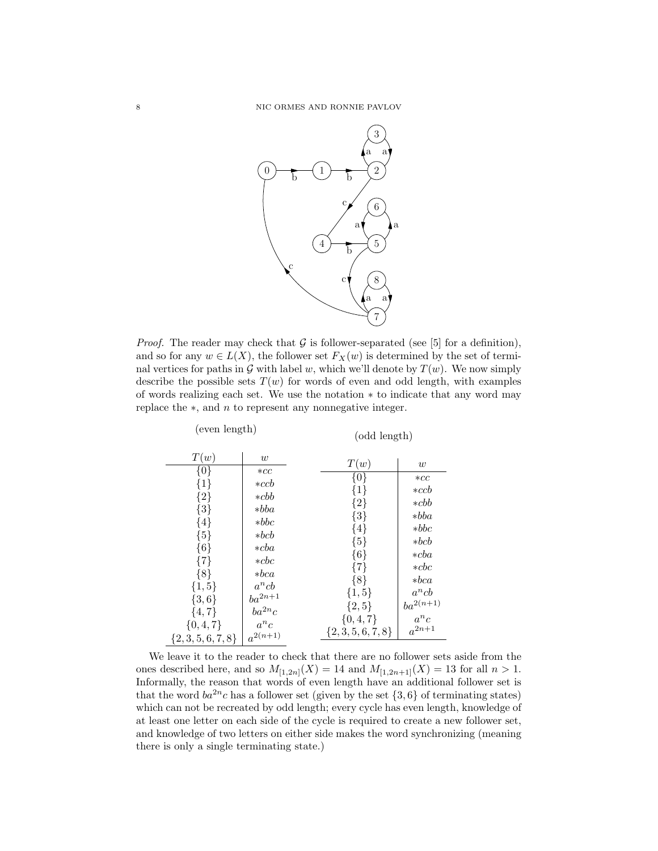

*Proof.* The reader may check that  $\mathcal G$  is follower-separated (see [5] for a definition), and so for any  $w \in L(X)$ , the follower set  $F_X(w)$  is determined by the set of terminal vertices for paths in G with label w, which we'll denote by  $T(w)$ . We now simply describe the possible sets  $T(w)$  for words of even and odd length, with examples of words realizing each set. We use the notation ∗ to indicate that any word may replace the ∗, and n to represent any nonnegative integer.

| (even length)                                                                                                        |                                                                                                                                         |                                                                                                                         | (odd length)                                                                                                                                     |  |
|----------------------------------------------------------------------------------------------------------------------|-----------------------------------------------------------------------------------------------------------------------------------------|-------------------------------------------------------------------------------------------------------------------------|--------------------------------------------------------------------------------------------------------------------------------------------------|--|
| T(w)<br>$\{0\}$<br>${1}$<br>${2}$<br>${3}$<br>${4}$<br>${5}$<br>$\{6\}$<br>${7}$<br>${8}$<br>$\{1, 5\}$<br>$\{3,6\}$ | $\boldsymbol{w}$<br>$*cc$<br>$*ccb$<br>$*cbb$<br>$* bba$<br>$* b b c$<br>$*bcb$<br>$*cba$<br>$*cbc$<br>$*bca$<br>$a^ncb$<br>$ba^{2n+1}$ | T(w)<br>$\{0\}$<br>${1}$<br>${2}$<br>${3}$<br>${4}$<br>${5}$<br>$\{6\}$<br>$\{7\}$<br>${8}$<br>$\{1, 5\}$<br>$\{2, 5\}$ | $\boldsymbol{w}$<br>$*cc$<br>$*ccb$<br>$*cbb$<br>$* bba$<br>$* bbc$<br>$*bcb$<br>$\ast cba$<br>${* c b c}$<br>$*bca$<br>$a^ncb$<br>$ba^{2(n+1)}$ |  |
| $\{4, 7\}$<br>$\{0, 4, 7\}$<br>$\{2,3,5,6,7,8\}$                                                                     | $ba^{2n}c$<br>$a^nc$<br>$a^{2(n+1)}$                                                                                                    | $\{0, 4, 7\}$<br>$\{2,3,5,6,7,8\}$                                                                                      | $a^nc$<br>$a^{2n+1}$                                                                                                                             |  |

We leave it to the reader to check that there are no follower sets aside from the ones described here, and so  $M_{[1,2n]}(X) = 14$  and  $M_{[1,2n+1]}(X) = 13$  for all  $n > 1$ . Informally, the reason that words of even length have an additional follower set is that the word  $ba^{2n}c$  has a follower set (given by the set  $\{3,6\}$  of terminating states) which can not be recreated by odd length; every cycle has even length, knowledge of at least one letter on each side of the cycle is required to create a new follower set, and knowledge of two letters on either side makes the word synchronizing (meaning there is only a single terminating state.)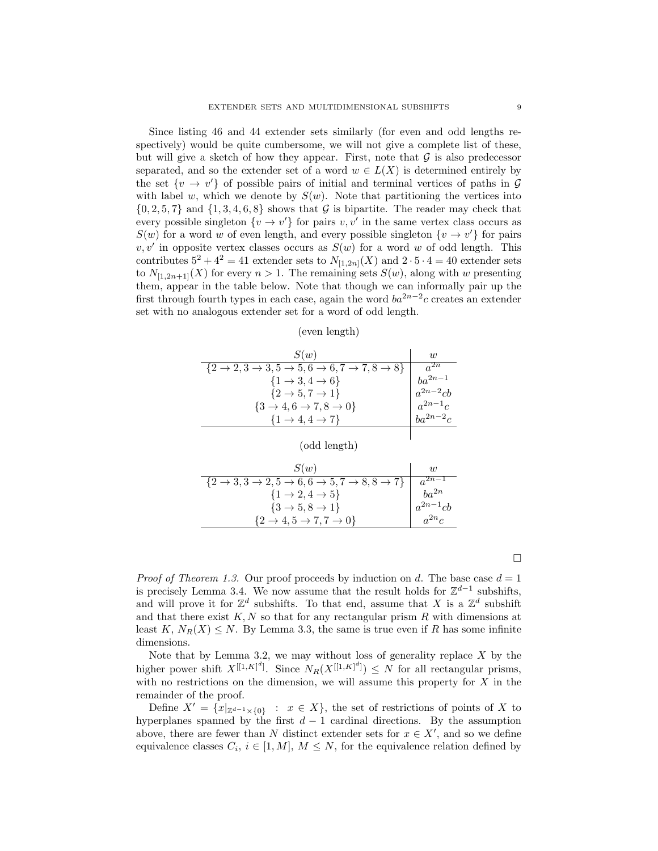Since listing 46 and 44 extender sets similarly (for even and odd lengths respectively) would be quite cumbersome, we will not give a complete list of these, but will give a sketch of how they appear. First, note that  $\mathcal G$  is also predecessor separated, and so the extender set of a word  $w \in L(X)$  is determined entirely by the set  $\{v \to v'\}$  of possible pairs of initial and terminal vertices of paths in G with label w, which we denote by  $S(w)$ . Note that partitioning the vertices into  $\{0, 2, 5, 7\}$  and  $\{1, 3, 4, 6, 8\}$  shows that G is bipartite. The reader may check that every possible singleton  $\{v \to v'\}$  for pairs  $v, v'$  in the same vertex class occurs as  $S(w)$  for a word w of even length, and every possible singleton  $\{v \to v'\}$  for pairs  $v, v'$  in opposite vertex classes occurs as  $S(w)$  for a word w of odd length. This contributes  $5^2 + 4^2 = 41$  extender sets to  $N_{[1,2n]}(X)$  and  $2 \cdot 5 \cdot 4 = 40$  extender sets to  $N_{[1,2n+1]}(X)$  for every  $n > 1$ . The remaining sets  $S(w)$ , along with w presenting them, appear in the table below. Note that though we can informally pair up the first through fourth types in each case, again the word  $ba^{2n-2}c$  creates an extender set with no analogous extender set for a word of odd length.

#### (even length)

| S(w)                                                                                                       | w                                                      |
|------------------------------------------------------------------------------------------------------------|--------------------------------------------------------|
| $\{2 \to 2, 3 \to 3, 5 \to 5, 6 \to 6, 7 \to 7, 8 \to 8\}$                                                 | $a^{\overline{2n}}$                                    |
| $\{1\rightarrow 3, 4\rightarrow 6\}$                                                                       | $ba^{2n-1}$                                            |
| $\{2 \rightarrow 5, 7 \rightarrow 1\}$                                                                     | $\begin{array}{c} a^{2n-2}cb \\ a^{2n-1}c \end{array}$ |
| $\{3 \rightarrow 4, 6 \rightarrow 7, 8 \rightarrow 0\}$                                                    |                                                        |
| $\{1\rightarrow 4, 4\rightarrow 7\}$                                                                       | $ba^{2n-2}c$                                           |
|                                                                                                            |                                                        |
| (odd length)                                                                                               |                                                        |
| S(w)                                                                                                       | $\overline{w}$                                         |
| $\{2 \rightarrow 3, 3 \rightarrow 2, 5 \rightarrow 6, 6 \rightarrow 5, 7 \rightarrow 8, 8 \rightarrow 7\}$ | $a^{2n-1}$                                             |
| $\{1\rightarrow 2, 4\rightarrow 5\}$                                                                       | $ba^{2n}$                                              |
| $\{3 \rightarrow 5, 8 \rightarrow 1\}$                                                                     | $a^{2n-1}cb$                                           |
| $\{2 \rightarrow 4, 5 \rightarrow 7, 7 \rightarrow 0\}$                                                    | $a^{2n}c$                                              |

 $\Box$ 

*Proof of Theorem 1.3.* Our proof proceeds by induction on d. The base case  $d = 1$ is precisely Lemma 3.4. We now assume that the result holds for  $\mathbb{Z}^{d-1}$  subshifts, and will prove it for  $\mathbb{Z}^d$  subshifts. To that end, assume that X is a  $\mathbb{Z}^d$  subshift and that there exist  $K, N$  so that for any rectangular prism R with dimensions at least K,  $N_R(X) \leq N$ . By Lemma 3.3, the same is true even if R has some infinite dimensions.

Note that by Lemma 3.2, we may without loss of generality replace  $X$  by the higher power shift  $X^{[[1,K]^d]}$ . Since  $N_R(X^{[[1,K]^d]}) \leq N$  for all rectangular prisms, with no restrictions on the dimension, we will assume this property for  $X$  in the remainder of the proof.

Define  $X' = \{x|_{\mathbb{Z}^{d-1}\times\{0\}} : x \in X\}$ , the set of restrictions of points of X to hyperplanes spanned by the first  $d-1$  cardinal directions. By the assumption above, there are fewer than N distinct extender sets for  $x \in X'$ , and so we define equivalence classes  $C_i$ ,  $i \in [1, M]$ ,  $M \leq N$ , for the equivalence relation defined by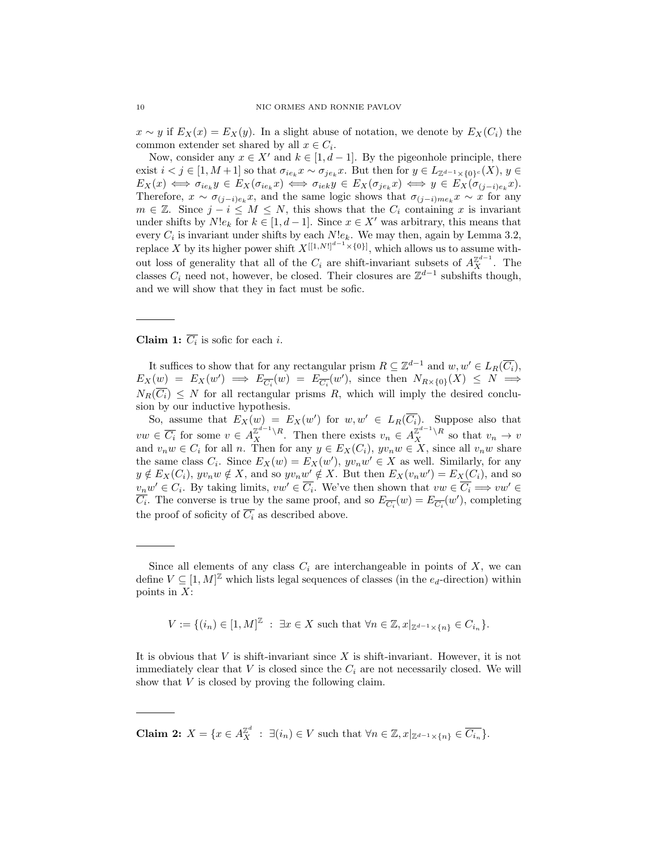$x \sim y$  if  $E_X(x) = E_X(y)$ . In a slight abuse of notation, we denote by  $E_X(C_i)$  the common extender set shared by all  $x \in C_i$ .

Now, consider any  $x \in X'$  and  $k \in [1, d-1]$ . By the pigeonhole principle, there exist  $i < j \in [1, M+1]$  so that  $\sigma_{ie_k} x \sim \sigma_{je_k} x$ . But then for  $y \in L_{\mathbb{Z}^{d-1} \times \{0\}^c}(X), y \in$  $E_X(x) \iff \sigma_{ie_k} y \in E_X(\sigma_{ie_k} x) \iff \sigma_{iek} y \in E_X(\sigma_{je_k} x) \iff y \in E_X(\sigma_{(j-i)e_k} x).$ Therefore,  $x \sim \sigma_{(j-i)e_k}x$ , and the same logic shows that  $\sigma_{(j-i)me_k}x \sim x$  for any  $m \in \mathbb{Z}$ . Since  $j - i \leq M \leq N$ , this shows that the  $C_i$  containing x is invariant under shifts by  $N!e_k$  for  $k \in [1, d-1]$ . Since  $x \in X'$  was arbitrary, this means that every  $C_i$  is invariant under shifts by each  $N!e_k$ . We may then, again by Lemma 3.2, replace X by its higher power shift  $X^{[[1,N]]^{d-1}\times{0}}$ , which allows us to assume without loss of generality that all of the  $C_i$  are shift-invariant subsets of  $A_X^{\mathbb{Z}^{d-1}}$ . The classes  $C_i$  need not, however, be closed. Their closures are  $\mathbb{Z}^{d-1}$  subshifts though, and we will show that they in fact must be sofic.

**Claim 1:**  $C_i$  is sofic for each *i*.

It suffices to show that for any rectangular prism  $R \subseteq \mathbb{Z}^{d-1}$  and  $w, w' \in L_R(\overline{C_i})$ ,  $E_X(w) = E_X(w') \implies E_{\overline{C_i}}(w) = E_{\overline{C_i}}(w')$ , since then  $N_{R \times \{0\}}(X) \leq N \implies$  $N_R(\overline{C_i}) \leq N$  for all rectangular prisms R, which will imply the desired conclusion by our inductive hypothesis.

So, assume that  $E_X(w) = E_X(w')$  for  $w, w' \in L_R(\overline{C_i})$ . Suppose also that  $vw \in \overline{C_i}$  for some  $v \in A_X^{\mathbb{Z}^{d-1}\setminus R}$ . Then there exists  $v_n \in A_X^{\mathbb{Z}^{d-1}\setminus R}$  so that  $v_n \to v$ and  $v_nw \in C_i$  for all n. Then for any  $y \in E_X(C_i)$ ,  $yv_nw \in X$ , since all  $v_nw$  share the same class  $C_i$ . Since  $E_X(w) = E_X(w')$ ,  $y v_n w' \in X$  as well. Similarly, for any  $y \notin E_X(C_i)$ ,  $yv_nw \notin X$ , and so  $yv_nw' \notin X$ . But then  $E_X(v_nw') = E_X(C_i)$ , and so  $v_nw' \in C_i$ . By taking limits,  $vw' \in \overline{C_i}$ . We've then shown that  $vw \in \overline{C_i} \Longrightarrow vw' \in$  $\overline{C_i}$ . The converse is true by the same proof, and so  $E_{\overline{C_i}}(w) = E_{\overline{C_i}}(w')$ , completing the proof of soficity of  $\overline{C_i}$  as described above.

 $V := \{(i_n) \in [1, M]^{\mathbb{Z}} : \exists x \in X \text{ such that } \forall n \in \mathbb{Z}, x|_{\mathbb{Z}^{d-1} \times \{n\}} \in C_{i_n}\}.$ 

It is obvious that  $V$  is shift-invariant since  $X$  is shift-invariant. However, it is not immediately clear that V is closed since the  $C_i$  are not necessarily closed. We will show that  $V$  is closed by proving the following claim.

**Claim 2:**  $X = \{x \in A_X^{\mathbb{Z}^d} : \exists (i_n) \in V \text{ such that } \forall n \in \mathbb{Z}, x|_{\mathbb{Z}^{d-1} \times \{n\}} \in \overline{C_{i_n}}\}.$ 

Since all elements of any class  $C_i$  are interchangeable in points of  $X$ , we can define  $V \subseteq [1, M]^{\mathbb{Z}}$  which lists legal sequences of classes (in the  $e_d$ -direction) within points in  $X$ :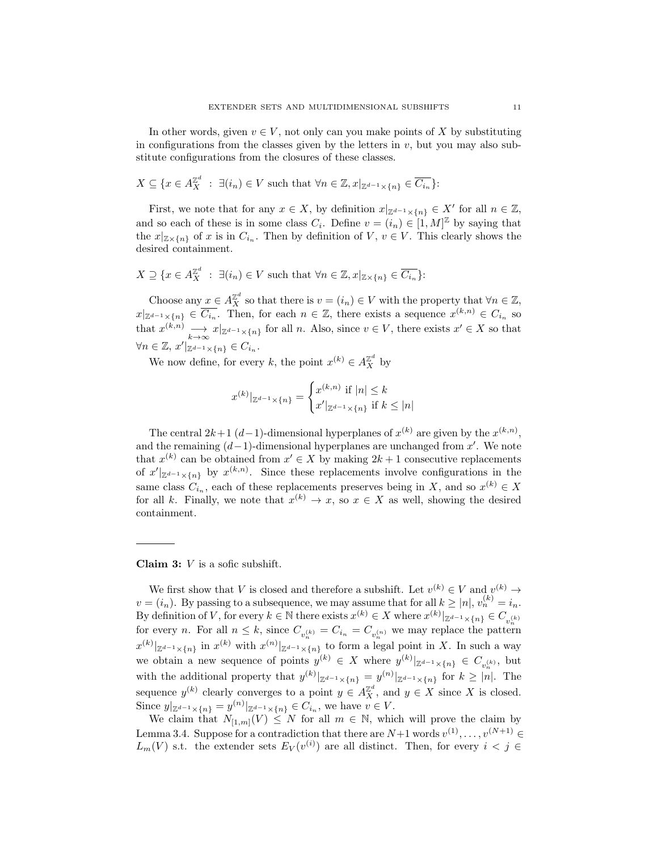In other words, given  $v \in V$ , not only can you make points of X by substituting in configurations from the classes given by the letters in  $v$ , but you may also substitute configurations from the closures of these classes.

$$
X \subseteq \{x \in A_{X}^{\mathbb{Z}^d} \ : \ \exists (i_n) \in V \ \text{such that} \ \forall n \in \mathbb{Z}, x|_{\mathbb{Z}^{d-1} \times \{n\}} \in \overline{C_{i_n}}\}:
$$

First, we note that for any  $x \in X$ , by definition  $x|_{\mathbb{Z}^{d-1}\times\{n\}} \in X'$  for all  $n \in \mathbb{Z}$ , and so each of these is in some class  $C_i$ . Define  $v = (i_n) \in [1, M]^{\mathbb{Z}}$  by saying that the  $x|_{\mathbb{Z}\times\{n\}}$  of x is in  $C_{i_n}$ . Then by definition of  $V, v \in V$ . This clearly shows the desired containment.

$$
X \supseteq \{x \in A_X^{\mathbb{Z}^d} \; : \; \exists (i_n) \in V \text{ such that } \forall n \in \mathbb{Z}, x|_{\mathbb{Z} \times \{n\}} \in \overline{C_{i_n}}\}.
$$

Choose any  $x \in A_X^{\mathbb{Z}^d}$  so that there is  $v = (i_n) \in V$  with the property that  $\forall n \in \mathbb{Z}$ ,  $x|_{\mathbb{Z}^{d-1}\times\{n\}} \in \overline{C_{i_n}}$ . Then, for each  $n \in \mathbb{Z}$ , there exists a sequence  $x^{(k,n)} \in C_{i_n}$  so that  $x^{(k,n)} \longrightarrow_{k \to \infty} x|_{\mathbb{Z}^{d-1} \times \{n\}}$  for all n. Also, since  $v \in V$ , there exists  $x' \in X$  so that  $\forall n \in \mathbb{Z}, \, x'|_{\mathbb{Z}^{d-1} \times \{n\}} \in C_{i_n}.$ 

We now define, for every k, the point  $x^{(k)} \in A_X^{\mathbb{Z}^d}$  by

$$
x^{(k)}|_{\mathbb{Z}^{d-1}\times\{n\}} = \begin{cases} x^{(k,n)} \text{ if } |n| \le k\\ x'|_{\mathbb{Z}^{d-1}\times\{n\}} \text{ if } k \le |n| \end{cases}
$$

The central  $2k+1$  (d-1)-dimensional hyperplanes of  $x^{(k)}$  are given by the  $x^{(k,n)}$ , and the remaining  $(d-1)$ -dimensional hyperplanes are unchanged from x'. We note that  $x^{(k)}$  can be obtained from  $x' \in X$  by making  $2k+1$  consecutive replacements of  $x'|_{\mathbb{Z}^{d-1}\times\{n\}}$  by  $x^{(k,n)}$ . Since these replacements involve configurations in the same class  $C_{i_n}$ , each of these replacements preserves being in X, and so  $x^{(k)} \in X$ for all k. Finally, we note that  $x^{(k)} \to x$ , so  $x \in X$  as well, showing the desired containment.

#### Claim  $3: V$  is a sofic subshift.

We first show that V is closed and therefore a subshift. Let  $v^{(k)} \in V$  and  $v^{(k)} \to$  $v = (i_n)$ . By passing to a subsequence, we may assume that for all  $k \ge |n|$ ,  $v_n^{(k)} = i_n$ . By definition of V, for every  $k \in \mathbb{N}$  there exists  $x^{(k)} \in X$  where  $x^{(k)}|_{\mathbb{Z}^{d-1} \times \{n\}} \in C_{v_n^{(k)}}$ for every *n*. For all  $n \leq k$ , since  $C_{v_n^{(k)}} = C_{i_n} = C_{v_n^{(n)}}$  we may replace the pattern  $\|x^{(k)}\|_{\mathbb{Z}^{d-1}\times\{n\}}$  in  $x^{(k)}$  with  $x^{(n)}|_{\mathbb{Z}^{d-1}\times\{n\}}$  to form a legal point in X. In such a way we obtain a new sequence of points  $y^{(k)} \in X$  where  $y^{(k)}|_{\mathbb{Z}^{d-1}\times\{n\}} \in C_{v_n^{(k)}},$  but with the additional property that  $y^{(k)}|_{\mathbb{Z}^{d-1}\times\{n\}} = y^{(n)}|_{\mathbb{Z}^{d-1}\times\{n\}}$  for  $k \geq |n|$ . The sequence  $y^{(k)}$  clearly converges to a point  $y \in A_X^{\mathbb{Z}^d}$ , and  $y \in X$  since X is closed. Since  $y|_{\mathbb{Z}^{d-1}\times\{n\}}=y^{(n)}|_{\mathbb{Z}^{d-1}\times\{n\}}\in C_{i_n}$ , we have  $v\in V$ .

We claim that  $N_{[1,m]}(V) \leq N$  for all  $m \in \mathbb{N}$ , which will prove the claim by Lemma 3.4. Suppose for a contradiction that there are  $N+1$  words  $v^{(1)}, \ldots, v^{(N+1)} \in$  $L_m(V)$  s.t. the extender sets  $E_V(v^{(i)})$  are all distinct. Then, for every  $i < j \in$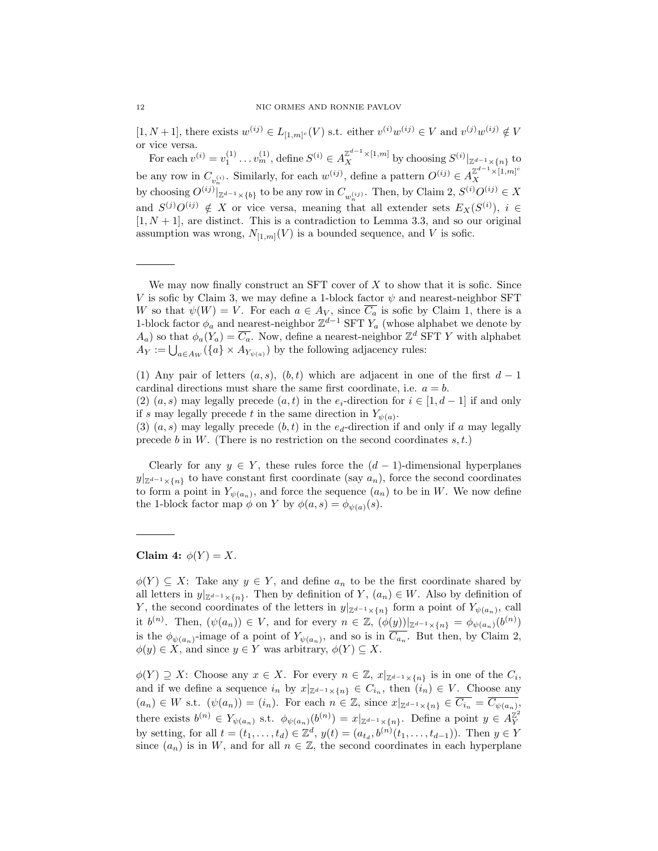$[1, N+1]$ , there exists  $w^{(ij)} \in L_{[1,m]^c}(V)$  s.t. either  $v^{(i)}w^{(ij)} \in V$  and  $v^{(j)}w^{(ij)} \notin V$ or vice versa.

For each  $v^{(i)} = v_1^{(1)} \dots v_m^{(1)}$ , define  $S^{(i)} \in A_X^{\mathbb{Z}^{d-1} \times [1,m]}$  by choosing  $S^{(i)}|_{\mathbb{Z}^{d-1} \times \{n\}}$  to be any row in  $C_{v_n^{(i)}}$ . Similarly, for each  $w^{(ij)}$ , define a pattern  $O^{(ij)} \in A_X^{\mathbb{Z}^{d-1} \times [1,m]^c}$ X by choosing  $O^{(ij)}|_{\mathbb{Z}^{d-1}\times\{b\}}$  to be any row in  $C_{w_n^{(ij)}}$ . Then, by Claim 2,  $S^{(i)}O^{(ij)} \in X$ and  $S^{(j)}O^{(ij)} \notin X$  or vice versa, meaning that all extender sets  $E_X(S^{(i)})$ ,  $i \in$  $[1, N + 1]$ , are distinct. This is a contradiction to Lemma 3.3, and so our original assumption was wrong,  $N_{[1,m]}(V)$  is a bounded sequence, and V is sofic.

We may now finally construct an SFT cover of  $X$  to show that it is sofic. Since V is sofic by Claim 3, we may define a 1-block factor  $\psi$  and nearest-neighbor SFT W so that  $\psi(W) = V$ . For each  $a \in A_V$ , since  $\overline{C_a}$  is sofic by Claim 1, there is a 1-block factor  $\phi_a$  and nearest-neighbor  $\mathbb{Z}^{d-1}$  SFT  $Y_a$  (whose alphabet we denote by  $A_a$ ) so that  $\phi_a(Y_a) = \overline{C_a}$ . Now, define a nearest-neighbor  $\mathbb{Z}^d$  SFT Y with alphabet  $A_Y := \bigcup_{a \in A_W} (\{a\} \times A_{Y_{\psi(a)}})$  by the following adjacency rules:

(1) Any pair of letters  $(a, s)$ ,  $(b, t)$  which are adjacent in one of the first  $d - 1$ cardinal directions must share the same first coordinate, i.e.  $a = b$ .

(2)  $(a, s)$  may legally precede  $(a, t)$  in the  $e_i$ -direction for  $i \in [1, d-1]$  if and only if s may legally precede t in the same direction in  $Y_{\psi(a)}$ .

(3)  $(a, s)$  may legally precede  $(b, t)$  in the  $e_d$ -direction if and only if a may legally precede b in W. (There is no restriction on the second coordinates  $s, t$ .)

Clearly for any  $y \in Y$ , these rules force the  $(d-1)$ -dimensional hyperplanes  $y|_{\mathbb{Z}^{d-1}\times\{n\}}$  to have constant first coordinate (say  $a_n$ ), force the second coordinates to form a point in  $Y_{\psi(a_n)}$ , and force the sequence  $(a_n)$  to be in W. We now define the 1-block factor map  $\phi$  on Y by  $\phi(a, s) = \phi_{\psi(a)}(s)$ .

## Claim 4:  $\phi(Y) = X$ .

 $\phi(Y) \subseteq X$ : Take any  $y \in Y$ , and define  $a_n$  to be the first coordinate shared by all letters in  $y|_{\mathbb{Z}^{d-1}\times\{n\}}$ . Then by definition of Y,  $(a_n) \in W$ . Also by definition of Y, the second coordinates of the letters in  $y|_{\mathbb{Z}^{d-1}\times\{n\}}$  form a point of  $Y_{\psi(a_n)}$ , call it  $b^{(n)}$ . Then,  $(\psi(a_n)) \in V$ , and for every  $n \in \mathbb{Z}$ ,  $(\phi(y))|_{\mathbb{Z}^{d-1}\times\{n\}} = \phi_{\psi(a_n)}(b^{(n)})$ is the  $\phi_{\psi(a_n)}$ -image of a point of  $Y_{\psi(a_n)}$ , and so is in  $C_{a_n}$ . But then, by Claim 2,  $\phi(y) \in X$ , and since  $y \in Y$  was arbitrary,  $\phi(Y) \subseteq X$ .

 $\phi(Y) \supseteq X$ : Choose any  $x \in X$ . For every  $n \in \mathbb{Z}$ ,  $x|_{\mathbb{Z}^{d-1} \times \{n\}}$  is in one of the  $C_i$ , and if we define a sequence  $i_n$  by  $x|_{\mathbb{Z}^{d-1}\times\{n\}} \in C_{i_n}$ , then  $(i_n) \in V$ . Choose any  $(a_n) \in W$  s.t.  $(\psi(a_n)) = (i_n)$ . For each  $n \in \mathbb{Z}$ , since  $x|_{\mathbb{Z}^{d-1} \times \{n\}} \in \overline{C_{i_n}} = \overline{C_{\psi(a_n)}}$ , there exists  $b^{(n)} \in Y_{\psi(a_n)}$  s.t.  $\phi_{\psi(a_n)}(b^{(n)}) = x|_{\mathbb{Z}^{d-1}\times\{n\}}$ . Define a point  $y \in A_Y^{\mathbb{Z}^2}$ by setting, for all  $t = (t_1, ..., t_d) \in \mathbb{Z}^d$ ,  $y(t) = (a_{t_d}, b^{(n)}(t_1, ..., t_{d-1}))$ . Then  $y \in Y$ since  $(a_n)$  is in W, and for all  $n \in \mathbb{Z}$ , the second coordinates in each hyperplane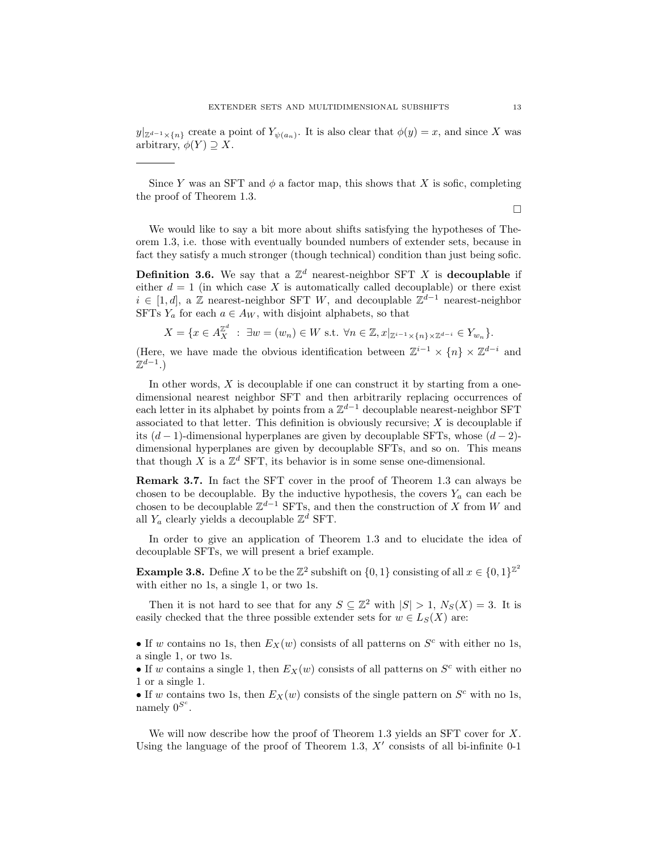$y|_{\mathbb{Z}^{d-1}\times\{n\}}$  create a point of  $Y_{\psi(a_n)}$ . It is also clear that  $\phi(y)=x$ , and since X was arbitrary,  $\phi(Y) \supseteq X$ .

Since Y was an SFT and  $\phi$  a factor map, this shows that X is sofic, completing the proof of Theorem 1.3.

 $\Box$ 

We would like to say a bit more about shifts satisfying the hypotheses of Theorem 1.3, i.e. those with eventually bounded numbers of extender sets, because in fact they satisfy a much stronger (though technical) condition than just being sofic.

**Definition 3.6.** We say that a  $\mathbb{Z}^d$  nearest-neighbor SFT X is **decouplable** if either  $d = 1$  (in which case X is automatically called decouplable) or there exist  $i \in [1, d]$ , a  $\mathbb{Z}$  nearest-neighbor SFT W, and decouplable  $\mathbb{Z}^{d-1}$  nearest-neighbor SFTs  $Y_a$  for each  $a \in A_W$ , with disjoint alphabets, so that

$$
X = \{ x \in A_X^{\mathbb{Z}^d} \; : \; \exists w = (w_n) \in W \text{ s.t. } \forall n \in \mathbb{Z}, x|_{\mathbb{Z}^{i-1} \times \{n\} \times \mathbb{Z}^{d-i}} \in Y_{w_n} \}.
$$

(Here, we have made the obvious identification between  $\mathbb{Z}^{i-1} \times \{n\} \times \mathbb{Z}^{d-i}$  and  $\mathbb{Z}^{d-1}.$ 

In other words,  $X$  is decouplable if one can construct it by starting from a onedimensional nearest neighbor SFT and then arbitrarily replacing occurrences of each letter in its alphabet by points from a  $\mathbb{Z}^{d-1}$  decouplable nearest-neighbor SFT associated to that letter. This definition is obviously recursive;  $X$  is decouplable if its  $(d-1)$ -dimensional hyperplanes are given by decouplable SFTs, whose  $(d-2)$ dimensional hyperplanes are given by decouplable SFTs, and so on. This means that though X is a  $\mathbb{Z}^d$  SFT, its behavior is in some sense one-dimensional.

Remark 3.7. In fact the SFT cover in the proof of Theorem 1.3 can always be chosen to be decouplable. By the inductive hypothesis, the covers  $Y_a$  can each be chosen to be decouplable  $\mathbb{Z}^{d-1}$  SFTs, and then the construction of X from W and all  $Y_a$  clearly yields a decouplable  $\mathbb{Z}^d$  SFT.

In order to give an application of Theorem 1.3 and to elucidate the idea of decouplable SFTs, we will present a brief example.

**Example 3.8.** Define X to be the  $\mathbb{Z}^2$  subshift on  $\{0,1\}$  consisting of all  $x \in \{0,1\}^{\mathbb{Z}^2}$ with either no 1s, a single 1, or two 1s.

Then it is not hard to see that for any  $S \subseteq \mathbb{Z}^2$  with  $|S| > 1$ ,  $N_S(X) = 3$ . It is easily checked that the three possible extender sets for  $w \in L_S(X)$  are:

• If w contains no 1s, then  $E_X(w)$  consists of all patterns on  $S^c$  with either no 1s, a single 1, or two 1s.

• If w contains a single 1, then  $E_X(w)$  consists of all patterns on  $S^c$  with either no 1 or a single 1.

• If w contains two 1s, then  $E_X(w)$  consists of the single pattern on  $S^c$  with no 1s, namely  $0^{S^c}$ .

We will now describe how the proof of Theorem 1.3 yields an SFT cover for  $X$ . Using the language of the proof of Theorem 1.3,  $X'$  consists of all bi-infinite 0-1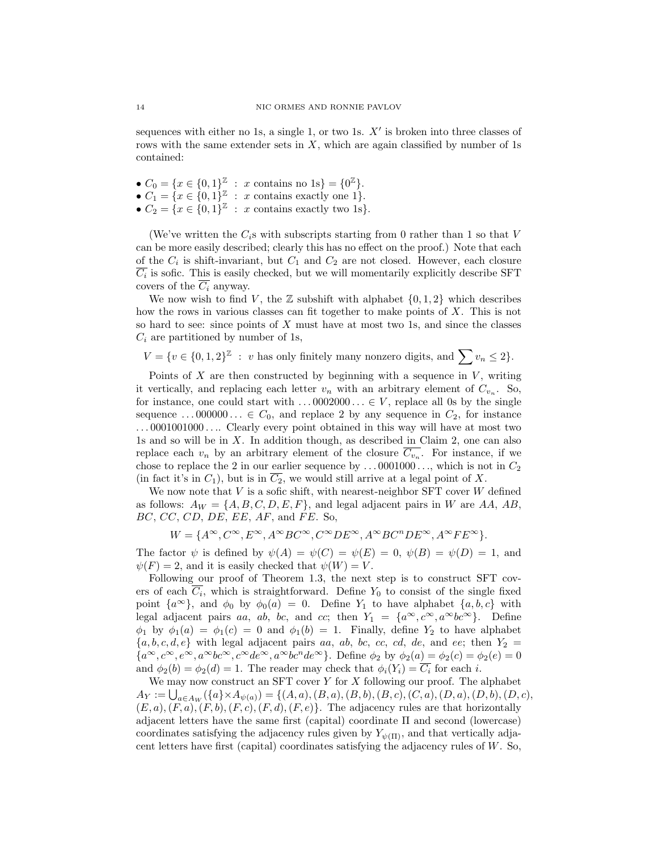sequences with either no 1s, a single 1, or two 1s.  $X'$  is broken into three classes of rows with the same extender sets in  $X$ , which are again classified by number of 1s contained:

- $C_0 = \{x \in \{0,1\}^{\mathbb{Z}} : x \text{ contains no } 1\text{s}\} = \{0^{\mathbb{Z}}\}.$
- $C_1 = \{x \in \{0,1\}^{\mathbb{Z}} : x \text{ contains exactly one } 1\}.$
- $C_2 = \{x \in \{0,1\}^{\mathbb{Z}} : x \text{ contains exactly two 1s}\}.$

(We've written the  $C_i$ s with subscripts starting from 0 rather than 1 so that V can be more easily described; clearly this has no effect on the proof.) Note that each of the  $C_i$  is shift-invariant, but  $C_1$  and  $C_2$  are not closed. However, each closure  $\overline{C_i}$  is sofic. This is easily checked, but we will momentarily explicitly describe SFT covers of the  $\overline{C_i}$  anyway.

We now wish to find V, the  $\mathbb Z$  subshift with alphabet  $\{0, 1, 2\}$  which describes how the rows in various classes can fit together to make points of X. This is not so hard to see: since points of  $X$  must have at most two 1s, and since the classes  $C_i$  are partitioned by number of 1s,

 $V = \{v \in \{0, 1, 2\}^{\mathbb{Z}} : v \text{ has only finitely many nonzero digits, and } \sum v_n \leq 2\}.$ 

Points of  $X$  are then constructed by beginning with a sequence in  $V$ , writing it vertically, and replacing each letter  $v_n$  with an arbitrary element of  $C_{v_n}$ . So, for instance, one could start with  $\dots 0002000\dots \in V$ , replace all 0s by the single sequence ... 000000...  $\in C_0$ , and replace 2 by any sequence in  $C_2$ , for instance . . . 0001001000 . . .. Clearly every point obtained in this way will have at most two 1s and so will be in X. In addition though, as described in Claim 2, one can also replace each  $v_n$  by an arbitrary element of the closure  $C_{v_n}$ . For instance, if we chose to replace the 2 in our earlier sequence by  $\dots$  0001000  $\dots$ , which is not in  $C_2$ (in fact it's in  $C_1$ ), but is in  $\overline{C_2}$ , we would still arrive at a legal point of X.

We now note that  $V$  is a sofic shift, with nearest-neighbor SFT cover  $W$  defined as follows:  $A_W = \{A, B, C, D, E, F\}$ , and legal adjacent pairs in W are AA, AB,  $BC, CC, CD, DE, EE, AF, and FE.$  So,

$$
W = \{A^{\infty}, C^{\infty}, E^{\infty}, A^{\infty}BC^{\infty}, C^{\infty}DE^{\infty}, A^{\infty}BC^nDE^{\infty}, A^{\infty}FE^{\infty}\}.
$$

The factor  $\psi$  is defined by  $\psi(A) = \psi(C) = \psi(E) = 0$ ,  $\psi(B) = \psi(D) = 1$ , and  $\psi(F) = 2$ , and it is easily checked that  $\psi(W) = V$ .

Following our proof of Theorem 1.3, the next step is to construct SFT covers of each  $C_i$ , which is straightforward. Define  $Y_0$  to consist of the single fixed point  $\{a^{\infty}\},$  and  $\phi_0$  by  $\phi_0(a) = 0$ . Define  $Y_1$  to have alphabet  $\{a, b, c\}$  with legal adjacent pairs aa, ab, bc, and cc; then  $Y_1 = \{a^\infty, c^\infty, a^\infty bc^\infty\}$ . Define  $\phi_1$  by  $\phi_1(a) = \phi_1(c) = 0$  and  $\phi_1(b) = 1$ . Finally, define  $Y_2$  to have alphabet  ${a, b, c, d, e}$  with legal adjacent pairs aa, ab, bc, cc, cd, de, and ee; then  $Y_2 =$  ${a^{\infty}, c^{\infty}, e^{\infty}, a^{\infty}bc^{\infty}, c^{\infty}de^{\infty}, a^{\infty}bc^nde^{\infty}}$ . Define  $\phi_2$  by  $\phi_2(a) = \phi_2(c) = \phi_2(e) = 0$ and  $\phi_2(b) = \phi_2(d) = 1$ . The reader may check that  $\phi_i(Y_i) = \overline{C_i}$  for each i.

We may now construct an SFT cover  $Y$  for  $X$  following our proof. The alphabet  $A_Y := \bigcup_{a \in A_W} (\{a\} \times A_{\psi(a)}) = \{(A, a), (B, a), (B, b), (B, c), (C, a), (D, a), (D, b), (D, c),$  $(E, a), (F, a), (F, b), (F, c), (F, d), (F, e)\}.$  The adjacency rules are that horizontally adjacent letters have the same first (capital) coordinate Π and second (lowercase) coordinates satisfying the adjacency rules given by  $Y_{\psi(\Pi)}$ , and that vertically adjacent letters have first (capital) coordinates satisfying the adjacency rules of  $W$ . So,